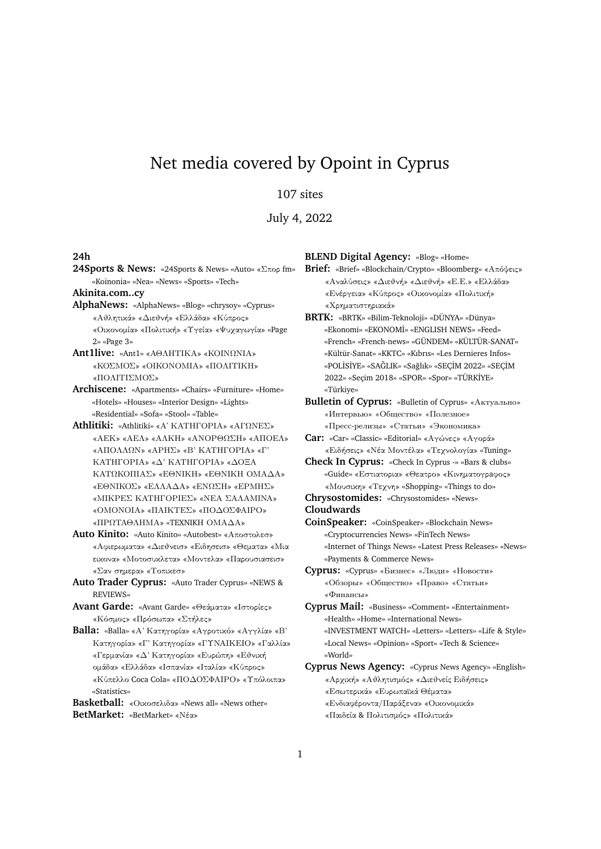## Net media covered by Opoint in Cyprus

107 sites

July 4, 2022

## **24h**

**24Sports & News:** «24Sports & News» «Auto» «Σπορ fm» «Koinonia» «Nea» «News» «Sports» «Tech»

**Akinita.com..cy**

**AlphaNews:** «AlphaNews» «Blog» «chrysoy» «Cyprus» «Αθλητικά» «Διεθνή» «Ελλάδα» «Κύπρος» «Οικονομία» «Πολιτική» «Υγεία» «Ψυχαγωγία» «Page 2» «Page 3»

**Ant1live:** «Ant1» «ΑΘΛΗΤΙΚΑ» «ΚΟΙΝΩΝΙΑ» «ΚΟΣΜΟΣ» «ΟΙΚΟΝΟΜΙΑ» «ΠΟΛΙΤΙΚΗ» «ΠΟΛΙΤΙΣΜΟΣ»

**Archiscene:** «Apartments» «Chairs» «Furniture» «Home» «Hotels» «Houses» «Interior Design» «Lights» «Residential» «Sofa» «Stool» «Table»

**Athlitiki:** «Athlitiki» «Α΄ ΚΑΤΗΓΟΡΙΑ» «ΑΓΩΝΕΣ» «ΑΕΚ» «ΑΕΛ» «ΑΛΚΗ» «ΑΝΟΡΘΩΣΗ» «ΑΠΟΕΛ» «ΑΠΟΛΛΩΝ» «ΑΡΗΣ» «Β' ΚΑΤΗΓΟΡΙΑ» «Γ' ΚΑΤΗΓΟΡΙΑ» «Δ' ΚΑΤΗΓΟΡΙΑ» «ΔΟΞΑ ΚΑΤΩΚΟΠΙΑΣ» «ΕΘΝΙΚΗ» «ΕΘΝΙΚΗ ΟΜΑΔΑ» «ΕΘΝΙΚΟΣ» «ΕΛΛΑΔΑ» «ΕΝΩΣΗ» «ΕΡΜΗΣ» «ΜΙΚΡΕΣ ΚΑΤΗΓΟΡΙΕΣ» «ΝΕΑ ΣΑΛΑΜΙΝΑ» «ΟΜΟΝΟΙΑ» «ΠΑΙΚΤΕΣ» «ΠΟΔΟΣΦΑΙΡΟ» «ΠΡΩΤΑΘΛΗΜΑ» «TEXNIKΗ ΟΜΑΔΑ»

**Auto Kinito:** «Auto Kinito» «Autobest» «Αποστολεσ» «Αφιερωματα» «Διεθνεισ» «Ειδησεισ» «Θεματα» «Μια εικονα» «Μοτοσυκλετα» «Μοντελα» «Παρουσιασεισ» «Σαν σημερα» «Τοπικεσ»

**Auto Trader Cyprus:** «Auto Trader Cyprus» «NEWS & REVIEWS»

**Avant Garde:** «Avant Garde» «Θεάματα» «Ιστορίες» «Κόσμος» «Πρόσωπα» «Στήλες»

**Balla:** «Balla» «Α' Κατηγορία» «Αγροτικό» «Αγγλία» «Β' Κατηγορία» «Γ' Κατηγορία» «ΓΥΝΑΙΚΕΙΟ» «Γαλλία» «Γερμανία» «Δ' Κατηγορία» «Ευρώπη» «Εθνική ομάδα» «Ελλάδα» «Ισπανία» «Ιταλία» «Κύπρος» «Κύπελλο Coca Cola» «ΠΟΔΟΣΦΑΙΡΟ» «Υπόλοιπα» «Statistics»

**Basketball:** «Οικοσελιδα» «News all» «News other» **BetMarket:** «BetMarket» «Νέα»

**BLEND Digital Agency:** «Blog» «Home»

**Brief:** «Brief» «Blockchain/Crypto» «Bloomberg» «Απόψεις» «Αναλύσεις» «Διεθνή» «Διεθνή» «Ε.Ε.» «Ελλάδα» «Ενέργεια» «Κύπρος» «Οικονομία» «Πολιτική» «Χρηματιστηριακά»

**BRTK:** «BRTK» «Bilim-Teknoloji» «DÜNYA» «Dünya» «Ekonomi» «EKONOM˙I» «ENGLISH NEWS» «Feed» «French» «French-news» «GÜNDEM» «KÜLTÜR-SANAT» «Kültür-Sanat» «KKTC» «Kıbrıs» «Les Dernieres Infos» «POLİSİYE» «SAĞLIK» «Sağlık» «SEÇİM 2022» «SEÇİM 2022» «Seçim 2018» «SPOR» «Spor» «TÜRK˙IYE» «Türkiye»

- **Bulletin of Cyprus:** «Bulletin of Cyprus» «Актуально» «Интервью» «Общество» «Полезное» «Пресс-релизы» «Статьи» «Экономика»
- **Car:** «Car» «Classic» «Editorial» «Αγώνες» «Αγορά» «Ειδήσεις» «Νέα Μοντέλα» «Τεχνολογία» «Tuning»

**Check In Cyprus:** «Check In Cyprus -» «Bars & clubs» «Guide» «Εστιατορια» «Θεατρο» «Κινηματογρaφος» «Μουσικη» «Τεχνη» «Shopping» «Things to do»

**Chrysostomides:** «Chrysostomides» «News»

**Cloudwards**

- **CoinSpeaker:** «CoinSpeaker» «Blockchain News» «Cryptocurrencies News» «FinTech News» «Internet of Things News» «Latest Press Releases» «News» «Payments & Commerce News»
- **Cyprus:** «Cyprus» «Бизнес» «Люди» «Новости» «Обзоры» «Общество» «Право» «Статьи» «Финансы»

**Cyprus Mail:** «Business» «Comment» «Entertainment» «Health» «Home» «International News» «INVESTMENT WATCH» «Letters» «Letters» «Life & Style» «Local News» «Opinion» «Sport» «Tech & Science» «World»

**Cyprus News Agency:** «Cyprus News Agency» «English» «Αρχική» «Αθλητισμός» «Διεθνείς Ειδήσεις» «Εσωτερικά» «Ευρωπαϊκά Θέματα» «Ενδιαφέροντα/Παράξενα» «Οικονομικά» «Παιδεία & Πολιτισμός» «Πολιτικά»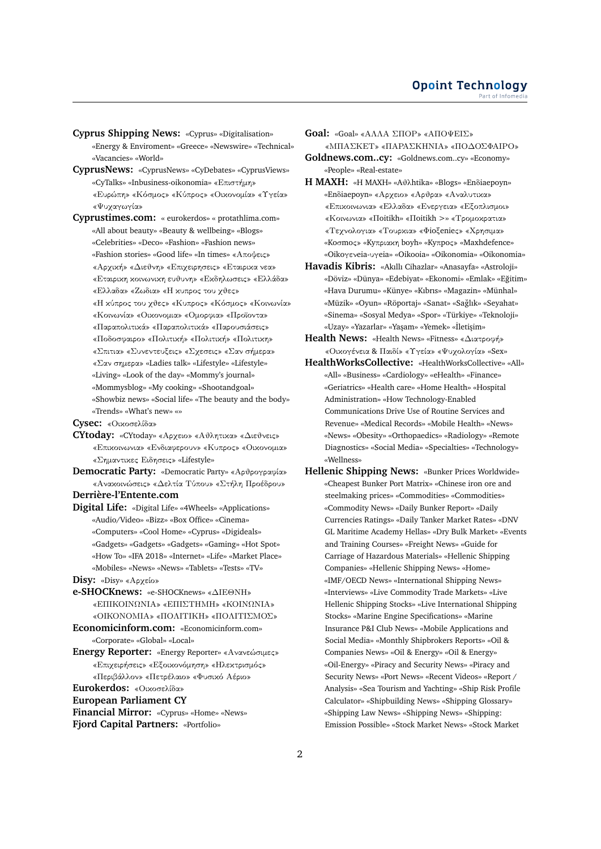- **Cyprus Shipping News:** «Cyprus» «Digitalisation» «Energy & Enviroment» «Greece» «Newswire» «Technical» «Vacancies» «World»
- **CyprusNews:** «CyprusNews» «CyDebates» «CyprusViews» «CyTalks» «Inbusiness-oikonomia» «Επιστήμη» «Ευρώπη» «Κόσμος» «Κύπρος» «Οικονομία» «Υγεία» «Ψυχαγωγία»
- **Cyprustimes.com:** « eurokerdos» « protathlima.com» «All about beauty» «Beauty & wellbeing» «Blogs» «Celebrities» «Deco» «Fashion» «Fashion news» «Fashion stories» «Good life» «In times» «Αποψεις» «Αρχική» «Διεθνη» «Επιχειρησεις» «Εταιρικα νεα» «Εταιρικη κοινωνικη ευθυνη» «Εκδηλωσεις» «Ελλάδα» «Ελλαδα» «Ζωδια» «Η κυπρος του χθες» «Η κύπρος του χθες» «Κυπρος» «Κόσμος» «Κοινωνία» «Κοινωνία» «Οικονομια» «Ομορφια» «Προϊοντα» «Παραπολιτικά» «Παραπολιτικά» «Παρουσιάσεις» «Ποδοσφαιρο» «Πολιτική» «Πολιτική» «Πολιτικη»
	- «Σπιτια» «Συνεντευξεις» «Σχεσεις» «Σαν σήμερα»
	- «Σαν σημερα» «Ladies talk» «Lifestyle» «Lifestyle»
	- «Living» «Look of the day» «Mommy's journal»
	- «Mommysblog» «My cooking» «Shootandgoal»
	- «Showbiz news» «Social life» «The beauty and the body» «Trends» «What's new» «»
- **Cysec:** «Οικοσελίδα»
- **CYtoday:** «CYtoday» «Αρχειο» «Αθλητικα» «Διεθνεις» «Επικοινωνια» «Ενδιαφερουν» «Κυπρος» «Οικονομια» «Σημαντικες Ειδησεις» «Lifestyle»
- **Democratic Party:** «Democratic Party» «Αρθρογραφία» «Ανακοινώσεις» «Δελτία Τύπου» «Στήλη Προέδρου» **Derrière-l'Entente.com**
- 
- **Digital Life:** «Digital Life» «4Wheels» «Applications» «Audio/Video» «Bizz» «Box Office» «Cinema» «Computers» «Cool Home» «Cyprus» «Digideals» «Gadgets» «Gadgets» «Gadgets» «Gaming» «Hot Spot» «How To» «IFA 2018» «Internet» «Life» «Market Place» «Mobiles» «News» «News» «Tablets» «Tests» «TV»
- **Disy:** «Disy» «Αρχείο»
- **e-SHOCKnews:** «e-SHOCKnews» «ΔΙΕΘΝΗ» «ΕΠΙΚΟΙΝΩΝΙΑ» «ΕΠΙΣΤΗΜΗ» «ΚΟΙΝΩΝΙΑ» «ΟΙΚΟΝΟΜΙΑ» «ΠΟΛΙΤΙΚΗ» «ΠΟΛΙΤΙΣΜΟΣ»
- **Economicinform.com:** «Economicinform.com» «Corporate» «Global» «Local»
- **Energy Reporter:** «Energy Reporter» «Ανανεώσιμες» «Επιχειρήσεις» «Εξοικονόμηση» «Ηλεκτρισμός» «Περιβάλλον» «Πετρέλαιο» «Φυσικό Αέριο»
- **Eurokerdos:** «Οικοσελίδα»

**European Parliament CY**

**Financial Mirror:** «Cyprus» «Home» «News» **Fjord Capital Partners:** «Portfolio»

- **Goal:** «Goal» «ΑΛΛΑ ΣΠΟΡ» «ΑΠΟΨΕΙΣ» «ΜΠΑΣΚΕΤ» «ΠΑΡΑΣΚΗΝΙΑ» «ΠΟΔΟΣΦΑΙΡΟ» **Goldnews.com..cy:** «Goldnews.com..cy» «Economy»
- «People» «Real-estate»
- **H MAXH:** «H MAXH» «Aθλhtika» «Blogs» «Enδiaepoyn» «Enδiaepoyn» «Αρχειο» «Αρθρα» «Αναλυτικα» «Επικοινωνια» «Ελλαδα» «Ενεργεια» «Εξοπλισμοι» «Κοινωνια» «Πoitikh» «Πoitikh >» «Τρομοκρατια» «Τεχνολογια» «Τουρκια» «Φioξenieς» «Χρησιμα» «Koσmoς» «Kyπριακη boyh» «Kyπpoς» «Maxhdefence» «Oikoγενeia-υγeia» «Oikooia» «Oikonomia» «Oikonomia»
- **Havadis Kibris:** «Akıllı Cihazlar» «Anasayfa» «Astroloji» «Döviz» «Dünya» «Edebiyat» «Ekonomi» «Emlak» «Egitim» ˘ «Hava Durumu» «Künye» «Kıbrıs» «Magazin» «Münhal» «Müzik» «Oyun» «Röportaj» «Sanat» «Saglık» «Seyahat» ˘ «Sinema» «Sosyal Medya» «Spor» «Türkiye» «Teknoloji» «Uzay» «Yazarlar» «Yaşam» «Yemek» «İletişim»
- **Health News:** «Health News» «Fitness» «Διατροφή» «Οικογένεια & Παιδί» «Υγεία» «Ψυχολογία» «Sex»
- **HealthWorksCollective:** «HealthWorksCollective» «All» «All» «Business» «Cardiology» «eHealth» «Finance» «Geriatrics» «Health care» «Home Health» «Hospital Administration» «How Technology-Enabled Communications Drive Use of Routine Services and Revenue» «Medical Records» «Mobile Health» «News» «News» «Obesity» «Orthopaedics» «Radiology» «Remote Diagnostics» «Social Media» «Specialties» «Technology» «Wellness»
- **Hellenic Shipping News:** «Bunker Prices Worldwide» «Cheapest Bunker Port Matrix» «Chinese iron ore and steelmaking prices» «Commodities» «Commodities» «Commodity News» «Daily Bunker Report» «Daily Currencies Ratings» «Daily Tanker Market Rates» «DNV GL Maritime Academy Hellas» «Dry Bulk Market» «Events and Training Courses» «Freight News» «Guide for Carriage of Hazardous Materials» «Hellenic Shipping Companies» «Hellenic Shipping News» «Home» «IMF/OECD News» «International Shipping News» «Interviews» «Live Commodity Trade Markets» «Live Hellenic Shipping Stocks» «Live International Shipping Stocks» «Marine Engine Specifications» «Marine Insurance P&I Club News» «Mobile Applications and Social Media» «Monthly Shipbrokers Reports» «Oil & Companies News» «Oil & Energy» «Oil & Energy» «Oil-Energy» «Piracy and Security News» «Piracy and Security News» «Port News» «Recent Videos» «Report / Analysis» «Sea Tourism and Yachting» «Ship Risk Profile Calculator» «Shipbuilding News» «Shipping Glossary» «Shipping Law News» «Shipping News» «Shipping: Emission Possible» «Stock Market News» «Stock Market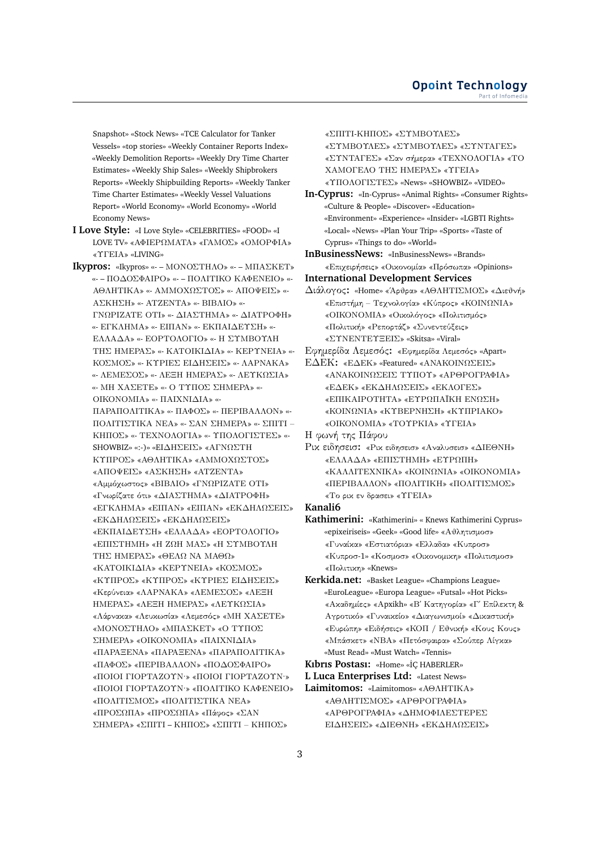Snapshot» «Stock News» «TCE Calculator for Tanker Vessels» «top stories» «Weekly Container Reports Index» «Weekly Demolition Reports» «Weekly Dry Time Charter Estimates» «Weekly Ship Sales» «Weekly Shipbrokers Reports» «Weekly Shipbuilding Reports» «Weekly Tanker Time Charter Estimates» «Weekly Vessel Valuations Report» «World Economy» «World Economy» «World Economy News»

- **I Love Style:** «I Love Style» «CELEBRITIES» «FOOD» «I LOVE TV» «ΑΦΙΕΡΩΜΑΤΑ» «ΓΑΜΟΣ» «ΟΜΟΡΦΙΑ» «ΥΓΕΙΑ» «LIVING»
- **Ikypros:** «Ikypros» «- ΜΟΝΟΣΤΗΛΟ» «- ΜΠΑΣΚΕΤ» «- – ΠΟΔΟΣΦΑΙΡΟ» «- – ΠΟΛΙΤΙΚΟ ΚΑΦΕΝΕΙΟ» «- ΑΘΛΗΤΙΚΑ» «- ΑΜΜΟΧΩΣΤΟΣ» «- ΑΠΟΨΕΙΣ» «- ΑΣΚΗΣΗ» «- ΑΤΖΕΝΤΑ» «- ΒΙΒΛΙΟ» «- ΓΝΩΡΙΖΑΤΕ ΟΤΙ» «- ΔΙΑΣΤΗΜΑ» «- ΔΙΑΤΡΟΦΗ» «- ΕΓΚΛΗΜΑ» «- ΕΙΠΑΝ» «- ΕΚΠΑΙΔΕΥΣΗ» «- ΕΛΛΑΔΑ» «- ΕΟΡΤΟΛΟΓΙΟ» «- Η ΣΥΜΒΟΥΛΗ ΤΗΣ ΗΜΕΡΑΣ» «- ΚΑΤΟΙΚΙΔΙΑ» «- ΚΕΡΥΝΕΙΑ» «- ΚΟΣΜΟΣ» «- ΚΥΡΙΕΣ ΕΙΔΗΣΕΙΣ» «- ΛΑΡΝΑΚΑ» «- ΛΕΜΕΣΟΣ» «- ΛΕΞΗ ΗΜΕΡΑΣ» «- ΛΕΥΚΩΣΙΑ» «- ΜΗ ΧΑΣΕΤΕ» «- Ο ΤΥΠΟΣ ΣΗΜΕΡΑ» «- ΟΙΚΟΝΟΜΙΑ» «- ΠΑΙΧΝΙΔΙΑ» «- ΠΑΡΑΠΟΛΙΤΙΚΑ» «- ΠΑΦΟΣ» «- ΠΕΡΙΒΑΛΛΟΝ» «- ΠΟΛΙΤΙΣΤΙΚΑ ΝΕΑ» «- ΣΑΝ ΣΗΜΕΡΑ» «- ΣΠΙΤΙ – ΚΗΠΟΣ» «- ΤΕΧΝΟΛΟΓΙΑ» «- ΥΠΟΛΟΓΙΣΤΕΣ» «- SHOWBIZ» «:-)» «EΙΔΗΣΕΙΣ» «ΑΓΝΩΣΤΗ ΚΥΠΡΟΣ» «ΑΘΛΗΤΙΚΑ» «ΑΜΜΟΧΩΣΤΟΣ» «ΑΠΟΨΕΙΣ» «ΑΣΚΗΣΗ» «ΑΤΖΕΝΤΑ» «Αμμόχωστος» «ΒΙΒΛΙΟ» «ΓΝΩΡΙΖΑΤΕ ΟΤΙ» «Γνωρίζατε ότι» «ΔΙΑΣΤΗΜΑ» «ΔΙΑΤΡΟΦΗ» «ΕΓΚΛΗΜΑ» «ΕΙΠΑΝ» «ΕΙΠΑΝ» «ΕΚΔΗΛΩΣΕΙΣ» «ΕΚΔΗΛΩΣΕΙΣ» «ΕΚΔΗΛΩΣΕΙΣ» «ΕΚΠΑΙΔΕΥΣΗ» «ΕΛΛΑΔΑ» «ΕΟΡΤΟΛΟΓΙΟ» «ΕΠΙΣΤΗΜΗ» «Η ΖΩΗ ΜΑΣ» «Η ΣΥΜΒΟΥΛΗ ΤΗΣ ΗΜΕΡΑΣ» «ΘΕΛΩ ΝΑ ΜΑΘΩ» «ΚΑΤΟΙΚΙΔΙΑ» «ΚΕΡΥΝΕΙΑ» «ΚΟΣΜΟΣ» «ΚΥΠΡΟΣ» «ΚΥΠΡΟΣ» «ΚΥΡΙΕΣ ΕΙΔΗΣΕΙΣ» «Κερύνεια» «ΛΑΡΝΑΚΑ» «ΛΕΜΕΣΟΣ» «ΛΕΞΗ ΗΜΕΡΑΣ» «ΛΕΞΗ ΗΜΕΡΑΣ» «ΛΕΥΚΩΣΙΑ» «Λάρνακα» «Λευκωσία» «Λεμεσός» «ΜΗ ΧΑΣΕΤΕ» «ΜΟΝΟΣΤΗΛΟ» «ΜΠΑΣΚΕΤ» «Ο ΤΥΠΟΣ ΣΗΜΕΡΑ» «ΟΙΚΟΝΟΜΙΑ» «ΠΑΙΧΝΙΔΙΑ» «ΠΑΡΑΞΕΝΑ» «ΠΑΡΑΞΕΝΑ» «ΠΑΡΑΠΟΛΙΤΙΚΑ» «ΠΑΦΟΣ» «ΠΕΡΙΒΑΛΛΟΝ» «ΠΟΔΟΣΦΑΙΡΟ» «ΠΟΙΟΙ ΓΙΟΡΤΑΖΟΥΝ·» «ΠΟΙΟΙ ΓΙΟΡΤΑΖΟΥΝ·» «ΠΟΙΟΙ ΓΙΟΡΤΑΖΟΥΝ·» «ΠΟΛΙΤΙΚΟ ΚΑΦΕΝΕΙΟ» «ΠΟΛΙΤΙΣΜΟΣ» «ΠΟΛΙΤΙΣΤΙΚΑ ΝΕΑ» «ΠΡΟΣΩΠΑ» «ΠΡΟΣΩΠΑ» «Πάφος» «ΣΑΝ ΣΗΜΕΡΑ» «ΣΠΙΤΙ – ΚΗΠΟΣ» «ΣΠΙΤΙ – ΚΗΠΟΣ»

«ΣΠΙΤΙ-ΚΗΠΟΣ» «ΣΥΜΒΟΥΛΕΣ» «ΣΥΜΒΟΥΛΕΣ» «ΣΥΜΒΟΥΛΕΣ» «ΣΥΝΤΑΓΕΣ» «ΣΥΝΤΑΓΕΣ» «Σαν σήμερα» «ΤΕΧΝΟΛΟΓΙΑ» «ΤΟ ΧΑΜΟΓΕΛΟ ΤΗΣ ΗΜΕΡΑΣ» «ΥΓΕΙΑ» «ΥΠΟΛΟΓΙΣΤΕΣ» «News» «SHOWBIZ» «VIDEO»

**In-Cyprus:** «In-Cyprus» «Animal Rights» «Consumer Rights» «Culture & People» «Discover» «Education» «Environment» «Experience» «Insider» «LGBTI Rights» «Local» «News» «Plan Your Trip» «Sports» «Taste of Cyprus» «Things to do» «World»

**InBusinessNews:** «InBusinessNews» «Brands» «Επιχειρήσεις» «Οικονομία» «Πρόσωπα» «Opinions»

- **International Development Services** Διάλογος**:** «Home» «΄Αρθρα» «ΑΘΛΗΤΙΣΜΟΣ» «Διεθνή» «Επιστήμη – Τεχνολογία» «Κύπρος» «ΚΟΙΝΩΝΙΑ» «ΟΙΚΟΝΟΜΙΑ» «Οικολόγος» «Πολιτισμός» «Πολιτική» «Ρεπορτάζ» «Συνεντεύξεις»
- «ΣΥΝΕΝΤΕΥΞΕΙΣ» «Skitsa» «Viral» Εφημερίδα Λεμεσός**:** «Εφημερίδα Λεμεσός» «Apart» ΕΔΕΚ**:** «ΕΔΕΚ» «Featured» «ΑΝΑΚΟΙΝΩΣΕΙΣ» «ΑΝΑΚΟΙΝΩΣΕΙΣ ΤΥΠΟΥ» «ΑΡΘΡΟΓΡΑΦΙΑ» «ΕΔΕΚ» «ΕΚΔΗΛΩΣΕΙΣ» «ΕΚΛΟΓΕΣ» «ΕΠΙΚΑΙΡΟΤΗΤΑ» «ΕΥΡΩΠΑΪΚΗ ΕΝΩΣΗ» «ΚΟΙΝΩΝΙΑ» «ΚΥΒΕΡΝΗΣΗ» «ΚΥΠΡΙΑΚΟ»

«ΟΙΚΟΝΟΜΙΑ» «ΤΟΥΡΚΙΑ» «ΥΓΕΙΑ» Η φωνή της Πάφου

Ρικ ειδησεισ**:** «Ρικ ειδησεισ» «Αναλυσεισ» «ΔΙΕΘΝΗ» «ΕΛΛΑΔΑ» «ΕΠΙΣΤΗΜΗ» «ΕΥΡΩΠΗ» «ΚΑΛΛΙΤΕΧΝΙΚΑ» «ΚΟΙΝΩΝΙΑ» «ΟΙΚΟΝΟΜΙΑ» «ΠΕΡΙΒΑΛΛΟΝ» «ΠΟΛΙΤΙΚΗ» «ΠΟΛΙΤΙΣΜΟΣ» «Το ρικ εν δρασει» «ΥΓΕΙΑ»

**Kanali6**

- **Kathimerini:** «Kathimerini» « Knews Kathimerini Cyprus» «epixeiriseis» «Geek» «Good life» «Αθλητισμοσ» «Γυναίκα» «Εστιατόρια» «Ελλαδα» «Κυπροσ» «Κυπροσ-1» «Κοσμοσ» «Οικονομικη» «Πολιτισμοσ» «Πολιτικη» «Knews»
- **Kerkida.net:** «Basket League» «Champions League» «EuroLeague» «Europa League» «Futsal» «Hot Picks» «Ακαδημίες» «Αpxikh» «Β΄ Κατηγορία» «Γ΄ Επίλεκτη & Αγροτικό» «Γυναικείο» «Διαγωνισμοί» «Δικαστική» «Ευρώπη» «Ειδήσεις» «ΚΟΠ / Εθνική» «Κους Κους» «Μπάσκετ» «ΝΒΑ» «Πετόσφαιρα» «Σούπερ Λίγκα» «Must Read» «Must Watch» «Tennis»

Kıbrıs Postası: «Home» «İÇ HABERLER»

**L Luca Enterprises Ltd:** «Latest News»

**Laimitomos:** «Laimitomos» «ΑΘΛΗΤΙΚΑ» «ΑΘΛΗΤΙΣΜΟΣ» «ΑΡΘΡΟΓΡΑΦΙΑ» «ΑΡΘΡΟΓΡΑΦΙΑ» «ΔΗΜΟΦΙΛΕΣΤΕΡΕΣ ΕΙΔΗΣΕΙΣ» «ΔΙΕΘΝΗ» «ΕΚΔΗΛΩΣΕΙΣ»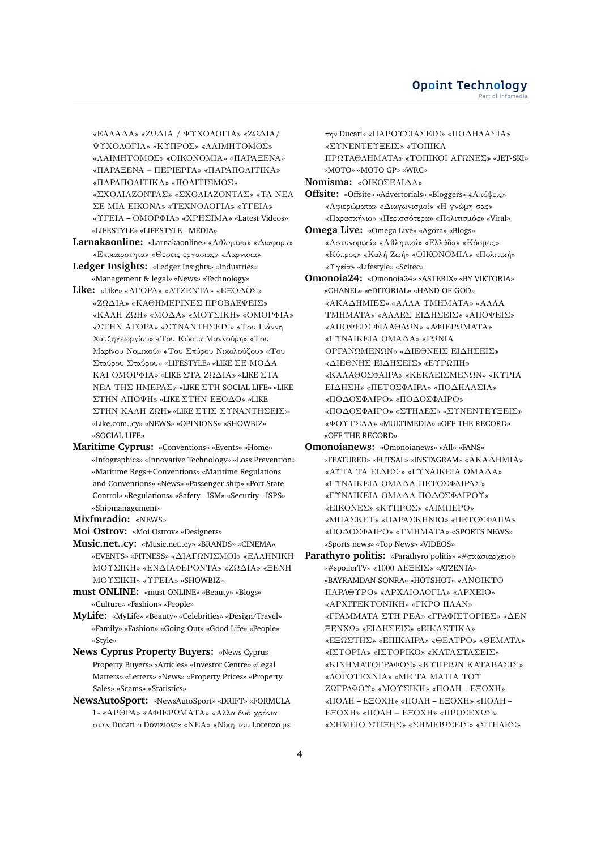«ΕΛΛΑΔΑ» «ΖΩΔΙΑ / ΨΥΧΟΛΟΓΙΑ» «ΖΩΔΙΑ/ ΨΥΧΟΛΟΓΙΑ» «ΚΥΠΡΟΣ» «ΛΑΙΜΗΤΟΜΟΣ» «ΛΑΙΜΗΤΟΜΟΣ» «ΟΙΚΟΝΟΜΙΑ» «ΠΑΡΑΞΕΝΑ» «ΠΑΡΑΞΕΝΑ – ΠΕΡΙΕΡΓΑ» «ΠΑΡΑΠΟΛΙΤΙΚΑ» «ΠΑΡΑΠΟΛΙΤΙΚΑ» «ΠΟΛΙΤΙΣΜΟΣ» «ΣΧΟΛΙΑΖΟΝΤΑΣ» «ΣΧΟΛΙΑΖΟΝΤΑΣ» «ΤΑ ΝΕΑ ΣΕ ΜΙΑ ΕΙΚΟΝΑ» «ΤΕΧΝΟΛΟΓΙΑ» «ΥΓΕΙΑ» «ΥΓΕΙΑ – ΟΜΟΡΦΙΑ» «ΧΡΗΣΙΜΑ» «Latest Videos» «LIFESTYLE» «LIFESTYLE – MEDIA»

- **Larnakaonline:** «Larnakaonline» «Αθλητικα» «Διαφορα» «Επικαιροτητα» «Θεσεις εργασιας» «Λαρνακα»
- **Ledger Insights:** «Ledger Insights» «Industries» «Management & legal» «News» «Technology»
- **Like:** «Like» «ΑΓΟΡΑ» «ΑΤΖΕΝΤΑ» «ΕΞΟΔΟΣ» «ΖΩΔΙΑ» «ΚΑΘΗΜΕΡΙΝΕΣ ΠΡΟΒΛΕΨΕΙΣ» «ΚΑΛΗ ΖΩΗ» «ΜΟΔΑ» «ΜΟΥΣΙΚΗ» «ΟΜΟΡΦΙΑ» «ΣΤΗΝ ΑΓΟΡΑ» «ΣΥΝΑΝΤΗΣΕΙΣ» «Του Γιάννη Χατζηγεωργίου» «Του Κώστα Μαννούρη» «Του Μαρίνου Νομικού» «Του Σπύρου Νικολούζου» «Του Σταύρου Σταύρου» «LIFESTYLE» «LIKE ΣΕ ΜΟΔΑ ΚΑΙ ΟΜΟΡΦΙΑ» «LIKE ΣΤΑ ΖΩΔΙΑ» «LIKE ΣΤΑ ΝΕΑ ΤΗΣ ΗΜΕΡΑΣ» «LIKE ΣΤΗ SOCIAL LIFE» «LIKE ΣΤΗΝ ΑΠΟΨΗ» «LIKE ΣΤΗΝ ΕΞΟΔΟ» «LIKE ΣΤΗΝ ΚΑΛΗ ΖΩΗ» «LIKE ΣΤΙΣ ΣΥΝΑΝΤΗΣΕΙΣ» «Like.com..cy» «NEWS» «OPINIONS» «SHOWBIZ» «SOCIAL LIFE»
- **Maritime Cyprus:** «Conventions» «Events» «Home» «Infographics» «Innovative Technology» «Loss Prevention» «Maritime Regs+Conventions» «Maritime Regulations and Conventions» «News» «Passenger ship» «Port State Control» «Regulations» «Safety – ISM» «Security – ISPS» «Shipmanagement»
- **Mixfmradio:** «ΝEWS»
- **Moi Ostrov:** «Moi Ostrov» «Designers»
- **Music.net..cy:** «Music.net..cy» «BRANDS» «CINEMA» «EVENTS» «FITNESS» «ΔΙΑΓΩΝΙΣΜΟΙ» «ΕΛΛΗΝΙΚΗ ΜΟΥΣΙΚΗ» «ΕΝΔΙΑΦΕΡΟΝΤΑ» «ΖΩΔΙΑ» «ΞΕΝΗ ΜΟΥΣΙΚΗ» «ΥΓΕΙΑ» «SHOWBIZ»
- **must ONLINE:** «must ONLINE» «Beauty» «Blogs» «Culture» «Fashion» «People»
- **MyLife:** «MyLife» «Beauty» «Celebrities» «Design/Travel» «Family» «Fashion» «Going Out» «Good Life» «People» «Style»
- **News Cyprus Property Buyers:** «News Cyprus Property Buyers» «Articles» «Investor Centre» «Legal Matters» «Letters» «News» «Property Prices» «Property Sales» «Scams» «Statistics»
- **NewsAutoSport:** «NewsAutoSport» «DRIFT» «FORMULA 1» «ΑΡΘΡΑ» «ΑΦΙΕΡΩΜΑΤΑ» «Αλλα δυό χρόνια στην Ducati ο Dovizioso» «ΝΕΑ» «Νίκη του Lorenzo με

την Ducati» «ΠΑΡΟΥΣΙΑΣΕΙΣ» «ΠΟΔΗΛΑΣΙΑ» «ΣΥΝΕΝΤΕΥΞΕΙΣ» «ΤΟΠΙΚΑ ΠΡΩΤΑΘΛΗΜΑΤΑ» «ΤΟΠΙΚΟΙ ΑΓΩΝΕΣ» «JET-SKI» «MOTO» «MOTO GP» «WRC» **Nomisma:** «ΟΙΚΟΣΕΛΙΔΑ» **Offsite:** «Offsite» «Advertorials» «Bloggers» «Απόψεις»

«Αφιερώματα» «Διαγωνισμοί» «Η γνώμη σας» «Παρασκήνιο» «Περισσότερα» «Πολιτισμός» «Viral» **Omega Live:** «Omega Live» «Agora» «Blogs»

«Αστυνομικά» «Αθλητικά» «Ελλάδα» «Κόσμος» «Κύπρος» «Καλή Ζωή» «ΟΙΚΟΝΟΜΙΑ» «Πολιτική» «Υγεία» «Lifestyle» «Scitec»

- **Omonoia24:** «Omonoia24» «ASTERIX» «BY VIKTORIA» «CHANEL» «eDITORIAL» «HAND OF GOD» «ΑΚΑΔΗΜΙΕΣ» «ΑΛΛΑ ΤΜΗΜΑΤΑ» «ΑΛΛΑ ΤΜΗΜΑΤΑ» «ΑΛΛΕΣ ΕΙΔΗΣΕΙΣ» «ΑΠΟΨΕΙΣ» «ΑΠΟΨΕΙΣ ΦΙΛΑΘΛΩΝ» «ΑΦΙΕΡΩΜΑΤΑ» «ΓΥΝΑΙΚΕΙΑ ΟΜΑΔΑ» «ΓΩΝΙΑ ΟΡΓΑΝΩΜΕΝΩΝ» «ΔΙΕΘΝΕΙΣ ΕΙΔΗΣΕΙΣ» «ΔΙΕΘΝΗΣ ΕΙΔΗΣΕΙΣ» «ΕΥΡΩΠΗ» «ΚΑΛΑΘΟΣΦΑΙΡΑ» «ΚΕΚΛΕΙΣΜΕΝΩΝ» «ΚΥΡΙΑ ΕΙΔΗΣΗ» «ΠΕΤΟΣΦΑΙΡΑ» «ΠΟΔΗΛΑΣΙΑ» «ΠΟΔΟΣΦΑΙΡΟ» «ΠΟΔΟΣΦΑΙΡΟ» «ΠΟΔΟΣΦΑΙΡΟ» «ΣΤΗΛΕΣ» «ΣΥΝΕΝΤΕΥΞΕΙΣ» «ΦΟΥΤΣΑΛ» «MULTIMEDIA» «OFF THE RECORD» «OFF THE RECORD»
- **Omonoianews:** «Omonoianews» «All» «FANS» «FEATURED» «FUTSAL» «INSTAGRAM» «ΑΚΑΔΗΜΙΑ» «ΑΥΤΑ ΤΑ ΕΙΔΕΣ·» «ΓΥΝΑΙΚΕΙΑ ΟΜΑΔΑ» «ΓΥΝΑΙΚΕΙΑ ΟΜΑΔΑ ΠΕΤΟΣΦΑΙΡΑΣ» «ΓΥΝΑΙΚΕΙΑ ΟΜΑΔΑ ΠΟΔΟΣΦΑΙΡΟΥ» «ΕΙΚΟΝΕΣ» «ΚΥΠΡΟΣ» «ΛΙΜΠΕΡΟ» «ΜΠΑΣΚΕΤ» «ΠΑΡΑΣΚΗΝΙΟ» «ΠΕΤΟΣΦΑΙΡΑ» «ΠΟΔΟΣΦΑΙΡΟ» «ΤΜΗΜΑΤΑ» «SPORTS NEWS» «Sports news» «Top News» «VIDEOS»
- **Parathyro politis:** «Parathyro politis» «#σκασιαρχειο» «#spoilerTV» «1000 ΛΕΞΕΙΣ» «ATZENTA» «BAYRAMDAN SONRA» «HOTSHOT» «ΑΝΟΙΚΤΟ ΠΑΡΑΘΥΡΟ» «ΑΡΧΑΙΟΛΟΓΙΑ» «ΑΡΧΕΙΟ» «ΑΡΧΙΤΕΚΤΟΝΙΚΗ» «ΓΚΡΟ ΠΛΑΝ» «ΓΡΑΜΜΑΤΑ ΣΤΗ ΡΕΑ» «ΓΡΑΦΙΣΤΟΡΙΕΣ» «ΔΕΝ ΞΕΝΧΩ» «ΕΙΔΗΣΕΙΣ» «ΕΙΚΑΣΤΙΚΑ» «ΕΞΩΣΤΗΣ» «ΕΠΙΚΑΙΡΑ» «ΘΕΑΤΡΟ» «ΘΕΜΑΤΑ» «ΙΣΤΟΡΙΑ» «ΙΣΤΟΡΙΚΟ» «ΚΑΤΑΣΤΑΣΕΙΣ» «ΚΙΝΗΜΑΤΟΓΡΑΦΟΣ» «ΚΥΠΡΙΩΝ ΚΑΤΑΒΑΣΙΣ» «ΛΟΓΟΤΕΧΝΙΑ» «ΜΕ ΤΑ ΜΑΤΙΑ ΤΟΥ ΖΩΓΡΑΦΟΥ» «ΜΟΥΣΙΚΗ» «ΠΟΛΗ – ΕΞΟΧΗ» «ΠΟΛΗ – ΕΞΟΧΗ» «ΠΟΛΗ – ΕΞΟΧΗ» «ΠΟΛΗ – ΕΞΟΧΗ» «ΠΟΛΗ – ΕΞΟΧΗ» «ΠΡΟΣΕΧΩΣ» «ΣΗΜΕΙΟ ΣΤΙΞΗΣ» «ΣΗΜΕΙΩΣΕΙΣ» «ΣΤΗΛΕΣ»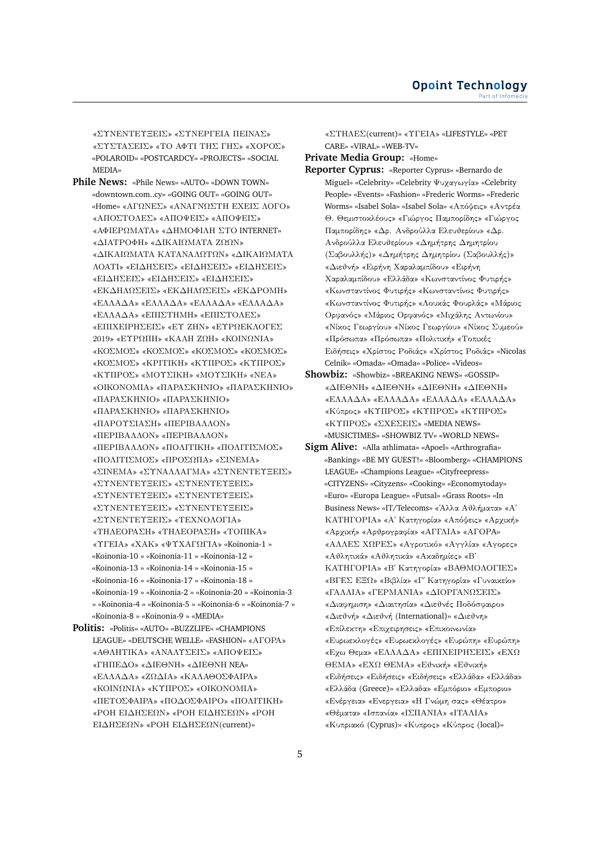«ΣΥΝΕΝΤΕΥΞΕΙΣ» «ΣΥΝΕΡΓΕΙΑ ΠΕΙΝΑΣ» «ΣΥΣΤΑΣΕΙΣ» «ΤΟ ΑΦΤΙ ΤΗΣ ΓΗΣ» «ΧΟΡΟΣ» «POLAROID» «POSTCARDCY» «PROJECTS» «SOCIAL MEDIA»

- **Phile News:** «Phile News» «AUTO» «DOWN TOWN» «downtown.com..cy» «GOING OUT» «GOING OUT» «Home» «ΑΓΩΝΕΣ» «ΑΝΑΓΝΩΣΤΗ ΕΧΕΙΣ ΛΟΓΟ» «ΑΠΟΣΤΟΛΕΣ» «ΑΠΟΨΕΙΣ» «ΑΠΟΨΕΙΣ» «ΑΦΙΕΡΩΜΑΤΑ» «ΔΗΜΟΦΙΛΗ ΣΤΟ INTERNET» «ΔΙΑΤΡΟΦΗ» «ΔΙΚΑΙΩΜΑΤΑ ΖΩΩΝ» «ΔΙΚΑΙΩΜΑΤΑ ΚΑΤΑΝΑΛΩΤΩΝ» «ΔΙΚΑΙΩΜΑΤΑ ΛΟΑΤΙ» «ΕΙΔΗΣΕΙΣ» «ΕΙΔΗΣΕΙΣ» «ΕΙΔΗΣΕΙΣ» «ΕΙΔΗΣΕΙΣ» «ΕΙΔΗΣΕΙΣ» «ΕΙΔΗΣΕΙΣ» «ΕΚΔΗΛΩΣΕΙΣ» «ΕΚΔΗΛΩΣΕΙΣ» «ΕΚΔΡΟΜΗ» «ΕΛΛΑΔΑ» «ΕΛΛΑΔΑ» «ΕΛΛΑΔΑ» «ΕΛΛΑΔΑ» «ΕΛΛΑΔΑ» «ΕΠΙΣΤΗΜΗ» «ΕΠΙΣΤΟΛΕΣ» «ΕΠΙΧΕΙΡΗΣΕΙΣ» «ΕΥ ΖΗΝ» «ΕΥΡΩΕΚΛΟΓΕΣ 2019» «ΕΥΡΩΠΗ» «ΚΑΛΗ ΖΩΗ» «ΚΟΙΝΩΝΙΑ» «ΚΟΣΜΟΣ» «ΚΟΣΜΟΣ» «ΚΟΣΜΟΣ» «ΚΟΣΜΟΣ» «ΚΟΣΜΟΣ» «ΚΡΙΤΙΚΗ» «ΚΥΠΡΟΣ» «ΚΥΠΡΟΣ» «ΚΥΠΡΟΣ» «ΜΟΥΣΙΚΗ» «ΜΟΥΣΙΚΗ» «ΝΕΑ» «ΟΙΚΟΝΟΜΙΑ» «ΠΑΡΑΣΚΗΝΙΟ» «ΠΑΡΑΣΚΗΝΙΟ» «ΠΑΡΑΣΚΗΝΙΟ» «ΠΑΡΑΣΚΗΝΙΟ» «ΠΑΡΑΣΚΗΝΙΟ» «ΠΑΡΑΣΚΗΝΙΟ» «ΠΑΡΟΥΣΙΑΣΗ» «ΠΕΡΙΒΑΛΛΟΝ» «ΠΕΡΙΒΑΛΛΟΝ» «ΠΕΡΙΒΑΛΛΟΝ» «ΠΕΡΙΒΑΛΛΟΝ» «ΠΟΛΙΤΙΚΗ» «ΠΟΛΙΤΙΣΜΟΣ» «ΠΟΛΙΤΙΣΜΟΣ» «ΠΡΟΣΩΠΑ» «ΣΙΝΕΜΑ» «ΣΙΝΕΜΑ» «ΣΥΝΑΛΛΑΓΜΑ» «ΣΥΝΕΝΤΕΥΞΕΙΣ» «ΣΥΝΕΝΤΕΥΞΕΙΣ» «ΣΥΝΕΝΤΕΥΞΕΙΣ» «ΣΥΝΕΝΤΕΥΞΕΙΣ» «ΣΥΝΕΝΤΕΥΞΕΙΣ» «ΣΥΝΕΝΤΕΥΞΕΙΣ» «ΣΥΝΕΝΤΕΥΞΕΙΣ» «ΣΥΝΕΝΤΕΥΞΕΙΣ» «ΤΕΧΝΟΛΟΓΙΑ» «ΤΗΛΕΟΡΑΣΗ» «ΤΗΛΕΟΡΑΣΗ» «ΤΟΠΙΚΑ» «ΥΓΕΙΑ» «ΧΑΚ» «ΨΥΧΑΓΩΓΙΑ» «Koinonia-1 » «Koinonia-10 » «Koinonia-11 » «Koinonia-12 » «Koinonia-13 » «Koinonia-14 » «Koinonia-15 » «Koinonia-16 » «Koinonia-17 » «Koinonia-18 » «Koinonia-19 » «Koinonia-2 » «Koinonia-20 » «Koinonia-3 » «Koinonia-4 » «Koinonia-5 » «Koinonia-6 » «Koinonia-7 » «Koinonia-8 » «Koinonia-9 » «MEDIA»
- **Politis:** «Politis» «AUTO» «BUZZLIFE» «CHAMPIONS LEAGUE» «DEUTSCHE WELLE» «FASHION» «ΑΓΟΡΑ» «ΑΘΛΗΤΙΚΑ» «ΑΝΑΛΥΣΕΙΣ» «ΑΠΟΨΕΙΣ» «ΓΗΠΕΔΟ» «ΔΙΕΘΝΗ» «ΔΙΕΘΝΗ NEA» «ΕΛΛΑΔΑ» «ΖΩΔΙΑ» «ΚΑΛΑΘΟΣΦΑΙΡΑ» «ΚΟΙΝΩΝΙΑ» «ΚΥΠΡΟΣ» «ΟΙΚΟΝΟΜΙΑ» «ΠΕΤΟΣΦΑΙΡΑ» «ΠΟΔΟΣΦΑΙΡΟ» «ΠΟΛΙΤΙΚΗ» «ΡΟΗ ΕΙΔΗΣΕΩΝ» «ΡΟΗ ΕΙΔΗΣΕΩΝ» «ΡΟΗ ΕΙΔΗΣΕΩΝ» «ΡΟΗ ΕΙΔΗΣΕΩΝ(current)»

«ΣΤΗΛΕΣ(current)» «ΥΓΕΙΑ» «LIFESTYLE» «PET CARE» «VIRAL» «WEB-TV»

**Private Media Group:** «Home»

- **Reporter Cyprus:** «Reporter Cyprus» «Bernardo de Miguel» «Celebrity» «Celebrity Ψυχαγωγία» «Celebrity People» «Events» «Fashion» «Frederic Worms» «Frederic Worms» «Isabel Sola» «Isabel Sola» «Απόψεις» «Αντρέα Θ. Θεμιστοκλέους» «Γιώργος Παμπορίδης» «Γιώργος Παμπορίδης» «Δρ. Ανδρούλλα Ελευθερίου» «Δρ. Ανδρούλλα Ελευθερίου» «Δημήτρης Δημητρίου (Σαβουλλής)» «Δημήτρης Δημητρίου (Σαβουλλής)» «Διεθνή» «Ειρήνη Χαραλαμπίδου» «Ειρήνη Χαραλαμπίδου» «Ελλάδα» «Κωνσταντίνος Φυτιρής» «Κωνσταντίνος Φυτιρής» «Κωνσταντίνος Φυτιρής» «Κωνσταντίνος Φυτιρής» «Λουκάς Φουρλάς» «Μάριος Ορφανός» «Μάριος Ορφανός» «Μιχάλης Αντωνίου» «Νίκος Γεωργίου» «Νίκος Γεωργίου» «Νίκος Συμεού» «Πρόσωπα» «Πρόσωπα» «Πολιτική» «Τοπικές Ειδήσεις» «Χρίστος Ροδιάς» «Χρίστος Ροδιάς» «Nicolas Celnik» «Omada» «Omada» «Police» «Videos»
- **Showbiz:** «Showbiz» «BREAKING NEWS» «GOSSIP» «ΔΙΕΘΝΗ» «ΔΙΕΘΝΗ» «ΔΙΕΘΝΗ» «ΔΙΕΘΝΗ» «ΕΛΛΑΔΑ» «ΕΛΛΑΔΑ» «ΕΛΛΑΔΑ» «ΕΛΛΑΔΑ» «Κύπρος» «ΚΥΠΡΟΣ» «ΚΥΠΡΟΣ» «ΚΥΠΡΟΣ» «ΚΥΠΡΟΣ» «ΣΧΕΣΕΙΣ» «MEDIA NEWS» «MUSICTIMES» «SHOWBIZ TV» «WORLD NEWS»
- **Sigm Alive:** «Alla athlimata» «Apoel» «Arthrografia» «Banking» «BE MY GUEST!» «Bloomberg» «CHAMPIONS LEAGUE» «Champions League» «Cityfreepress» «CITYZENS» «Cityzens» «Cooking» «Economytoday» «Euro» «Europa League» «Futsal» «Grass Roots» «In Business News» «IT/Telecoms» «΄Αλλα Αθλήματα» «Α΄ ΚΑΤΗΓΟΡΙΑ» «Α΄ Κατηγορία» «Απόψεις» «Αρχική» «Αρχική» «Αρθρογραφία» «ΑΓΓΛΙΑ» «ΑΓΟΡA» «ΑΛΛΕΣ ΧΩΡΕΣ» «Αγροτικό» «Αγγλία» «Αγορες» «Αθλητικά» «Αθλητικά» «Ακαδημίες» «Β΄ ΚΑΤΗΓΟΡΙΑ» «Β΄ Κατηγορία» «ΒΑΘΜΟΛΟΓΙΕΣ» «ΒΓΕΣ ΕΞΩ» «Βιβλία» «Γ΄ Κατηγορία» «Γυναικείο» «ΓΑΛΛΙΑ» «ΓΕΡΜΑΝΙΑ» «ΔΙΟΡΓΑΝΩΣΕΙΣ» «Διαφημιση» «Διαιτησία» «Διεθνές Ποδόσφαιρο» «Διεθνή» «Διεθνή (International)» «Διεθνη» «Επίλεκτη» «Επιχειρησεις» «Επικοινωνία» «Ευρωεκλογές» «Ευρωεκλογές» «Ευρώπη» «Ευρώπη» «Εχω Θεμα» «ΕΛΛΑΔΑ» «ΕΠΙΧΕΙΡΗΣΕΙΣ» «ΕΧΩ ΘΕΜΑ» «ΕΧΩ ΘΕΜΑ» «Εθνική» «Εθνική» «Ειδήσεις» «Ειδήσεις» «Ειδήσεις» «Ελλάδα» «Ελλάδα» «Ελλάδα (Greece)» «Ελλαδα» «Εμπόριο» «Εμποριο» «Ενέργεια» «Ενεργεια» «Η Γνώμη σας» «Θέατρο» «Θέματα» «Ισπανία» «ΙΣΠΑΝΙΑ» «ΙΤΑΛΙΑ» «Κυπριακό (Cyprus)» «Κυπρος» «Κύπρος (local)»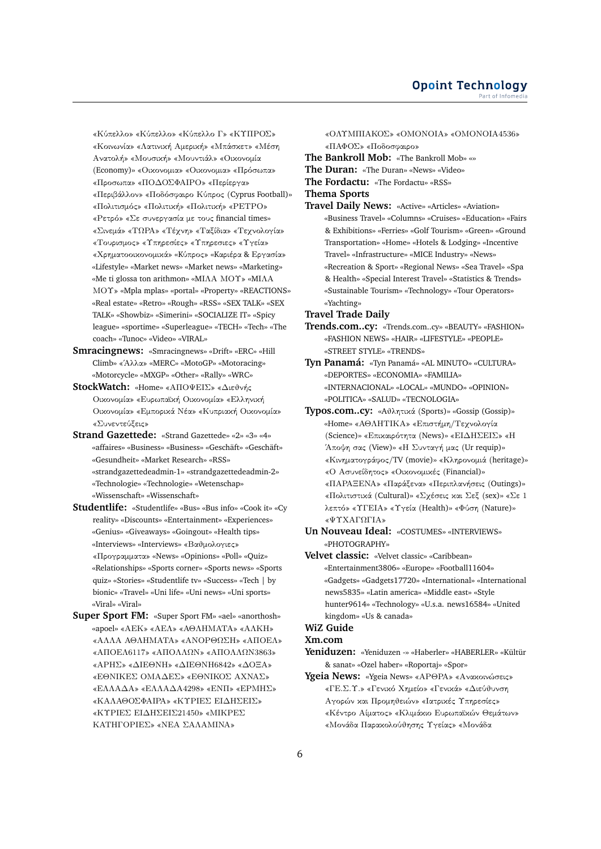«Κύπελλο» «Κύπελλο» «Κύπελλο Γ» «ΚΥΠΡΟΣ» «Κοινωνία» «Λατινική Αμερική» «Μπάσκετ» «Μέση Ανατολή» «Μουσική» «Μουντιάλ» «Οικονομία (Economy)» «Οικονομια» «Οικονομια» «Πρόσωπα» «Προσωπα» «ΠΟΔΟΣΦΑΙΡΟ» «Περίεργα» «Περιβάλλον» «Ποδόσφαιρο Κύπρος (Cyprus Football)» «Πολιτισμός» «Πολιτική» «Πολιτική» «ΡΕΤΡΟ» «Ρετρό» «Σε συνεργασία με τους financial times» «Σινεμά» «ΤΩΡΑ» «Τέχνη» «Ταξίδια» «Τεχνολογία» «Τουρισμος» «Υπηρεσίες» «Υπηρεσιες» «Υγεία» «Χρηματοοικονομικά» «Kύπρος» «Kαριέρα & Εργασία» «Lifestyle» «Market news» «Market news» «Marketing» «Me ti glossa ton arithmon» «MΙΛΑ ΜΟΥ» «MΙΛΑ ΜΟΥ» «Mpla mplas» «portal» «Property» «REACTIONS» «Real estate» «Retro» «Rough» «RSS» «SEX TALK» «SEX TALK» «Showbiz» «Simerini» «SOCIALIZE IT» «Spicy league» «sportime» «Superleague» «TECH» «Tech» «The coach» «Tunoc» «Video» «VIRAL»

- **Smracingnews:** «Smracingnews» «Drift» «ERC» «Hill Climb» «΄Αλλα» «MERC» «MotoGP» «Motoracing» «Motorcycle» «MXGP» «Other» «Rally» «WRC»
- **StockWatch:** «Home» «ΑΠΟΨΕΙΣ» «Διεθνής Οικονομία» «Ευρωπαϊκή Οικονομία» «Ελληνική Οικονομία» «Εμπορικά Νέα» «Κυπριακή Οικονομία» «Συνεντεύξεις»
- **Strand Gazettede:** «Strand Gazettede» «2» «3» «4» «affaires» «Business» «Business» «Geschäft» «Geschäft» «Gesundheit» «Market Research» «RSS» «strandgazettedeadmin-1» «strandgazettedeadmin-2» «Technologie» «Technologie» «Wetenschap» «Wissenschaft» «Wissenschaft»
- **Studentlife:** «Studentlife» «Bus» «Bus info» «Cook it» «Cy reality» «Discounts» «Entertainment» «Experiences» «Genius» «Giveaways» «Goingout» «Health tips» «Interviews» «Interviews» «Βαθμολογιες» «Προγραμματα» «News» «Opinions» «Poll» «Quiz» «Relationships» «Sports corner» «Sports news» «Sports quiz» «Stories» «Studentlife tv» «Success» «Tech | by bionic» «Travel» «Uni life» «Uni news» «Uni sports» «Viral» «Viral»
- **Super Sport FM:** «Super Sport FM» «ael» «anorthosh» «apoel» «ΑΕΚ» «ΑΕΛ» «ΑΘΛΗΜΑΤΑ» «ΑΛΚΗ» «ΑΛΛΑ ΑΘΛΗΜΑΤΑ» «ΑΝΟΡΘΩΣΗ» «ΑΠΟΕΛ» «ΑΠΟΕΛ6117» «ΑΠΟΛΛΩΝ» «ΑΠΟΛΛΩΝ3863» «ΑΡΗΣ» «ΔΙΕΘΝΗ» «ΔΙΕΘΝΗ6842» «ΔΟΞΑ» «ΕΘΝΙΚΕΣ ΟΜΑΔΕΣ» «ΕΘΝΙΚΟΣ ΑΧΝΑΣ» «ΕΛΛΑΔΑ» «ΕΛΛΑΔΑ4298» «ΕΝΠ» «ΕΡΜΗΣ» «ΚΑΛΑΘΟΣΦΑΙΡΑ» «ΚΥΡΙΕΣ ΕΙΔΗΣΕΙΣ» «ΚΥΡΙΕΣ ΕΙΔΗΣΕΙΣ21450» «ΜΙΚΡΕΣ ΚΑΤΗΓΟΡΙΕΣ» «ΝΕΑ ΣΑΛΑΜΙΝΑ»

«ΟΛΥΜΠΙΑΚΟΣ» «ΟΜΟΝΟΙΑ» «ΟΜΟΝΟΙΑ4536» «ΠΑΦΟΣ» «Ποδοσφαιρο» **The Bankroll Mob:** «The Bankroll Mob» «» **The Duran:** «The Duran» «News» «Video»

**The Fordactu:** «The Fordactu» «RSS»

**Thema Sports**

**Travel Daily News:** «Active» «Articles» «Aviation» «Business Travel» «Columns» «Cruises» «Education» «Fairs & Exhibitions» «Ferries» «Golf Tourism» «Green» «Ground Transportation» «Home» «Hotels & Lodging» «Incentive Travel» «Infrastructure» «MICE Industry» «News» «Recreation & Sport» «Regional News» «Sea Travel» «Spa & Health» «Special Interest Travel» «Statistics & Trends» «Sustainable Tourism» «Technology» «Tour Operators» «Yachting»

**Travel Trade Daily**

- **Trends.com..cy:** «Trends.com..cy» «BEAUTY» «FASHION» «FASHION NEWS» «HAIR» «LIFESTYLE» «PEOPLE» «STREET STYLE» «TRENDS»
- **Tyn Panamá:** «Tyn Panamá» «AL MINUTO» «CULTURA» «DEPORTES» «ECONOMIA» «FAMILIA» «INTERNACIONAL» «LOCAL» «MUNDO» «OPINION» «POLITICA» «SALUD» «TECNOLOGIA»
- **Typos.com..cy:** «Aθλητικά (Sports)» «Gossip (Gossip)» «Home» «ΑΘΛΗΤΙΚΑ» «Επιστήμη/Τεχνολογία (Science)» «Επικαιρότητα (News)» «ΕΙΔΗΣΕΙΣ» «Η ΄Αποψη σας (View)» «Η Συνταγή μας (Ur requip)» «Κινηματογράφος/TV (movie)» «Κληρονομιά (heritage)» «Ο Ασυνείδητος» «Οικονομικές (Financial)» «ΠΑΡΑΞΕΝΑ» «Παράξενα» «Περιπλανήσεις (Outings)» «Πολιτιστικά (Cultural)» «Σχέσεις και Σεξ (sex)» «Σε 1 λεπτό» «ΥΓΕΙΑ» «Υγεία (Health)» «Φύση (Nature)» «ΨΥΧΑΓΩΓΙΑ»
- **Un Nouveau Ideal:** «COSTUMES» «INTERVIEWS» «PHOTOGRAPHY»
- **Velvet classic:** «Velvet classic» «Caribbean» «Entertainment3806» «Europe» «Football11604» «Gadgets» «Gadgets17720» «International» «International news5835» «Latin america» «Middle east» «Style hunter9614» «Technology» «U.s.a. news16584» «United kingdom» «Us & canada»

## **WiZ Guide**

## **Xm.com**

**Yeniduzen:** «Yeniduzen -» «Haberler» «HABERLER» «Kültür & sanat» «Ozel haber» «Roportaj» «Spor»

**Ygeia News:** «Ygeia News» «ΑΡΘΡΑ» «Ανακοινώσεις» «ΓΕ.Σ.Υ.» «Γενικό Χημείο» «Γενικά» «Διεύθυνση Αγορών και Προμηθειών» «Ιατρικές Υπηρεσίες» «Κέντρο Αίματος» «Κλιμάκιο Ευρωπαϊκών Θεμάτων» «Μονάδα Παρακολούθησης Υγείας» «Μονάδα